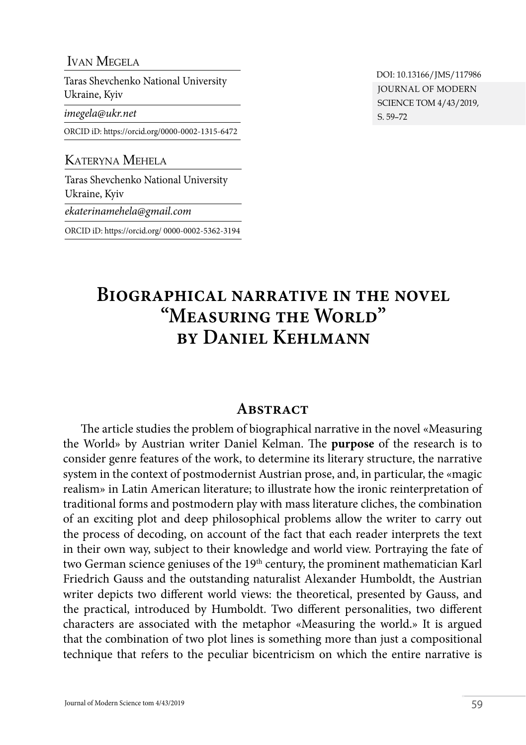#### Ivan Megela

Taras Shevchenko National University Ukraine, Kyiv

*[imegela@ukr.net](mailto:imegela@ukr.net)*

ORCID iD: https://orcid.org[/0000-0002-1315-6472](https://orcid.org/0000-0002-1315-6472)

### Kateryna Mehela

Taras Shevchenko National University Ukraine, Kyiv

*[ekaterinamehela@gmail.com](mailto:ekaterinamehela@gmail.com)*

ORCID iD: https://orcid.org/ [0000-0002-5362-3194](https://orcid.org/0000-0002-5362-3194)

JOURNAL OF MODERN SCIENCE TOM 4/43/2019, S. 59–72 DOI: 10.13166/JMS/117986

# **Biographical narrative in the novel "Measuring the World" by Daniel Kehlmann**

#### **ABSTRACT**

The article studies the problem of biographical narrative in the novel «Measuring the World» by Austrian writer Daniel Kelman. The **purpose** of the research is to consider genre features of the work, to determine its literary structure, the narrative system in the context of postmodernist Austrian prose, and, in particular, the «magic realism» in Latin American literature; to illustrate how the ironic reinterpretation of traditional forms and postmodern play with mass literature cliches, the combination of an exciting plot and deep philosophical problems allow the writer to carry out the process of decoding, on account of the fact that each reader interprets the text in their own way, subject to their knowledge and world view. Portraying the fate of two German science geniuses of the 19<sup>th</sup> century, the prominent mathematician Karl Friedrich Gauss and the outstanding naturalist Alexander Humboldt, the Austrian writer depicts two different world views: the theoretical, presented by Gauss, and the practical, introduced by Humboldt. Two different personalities, two different characters are associated with the metaphor «Measuring the world.» It is argued that the combination of two plot lines is something more than just a compositional technique that refers to the peculiar bicentricism on which the entire narrative is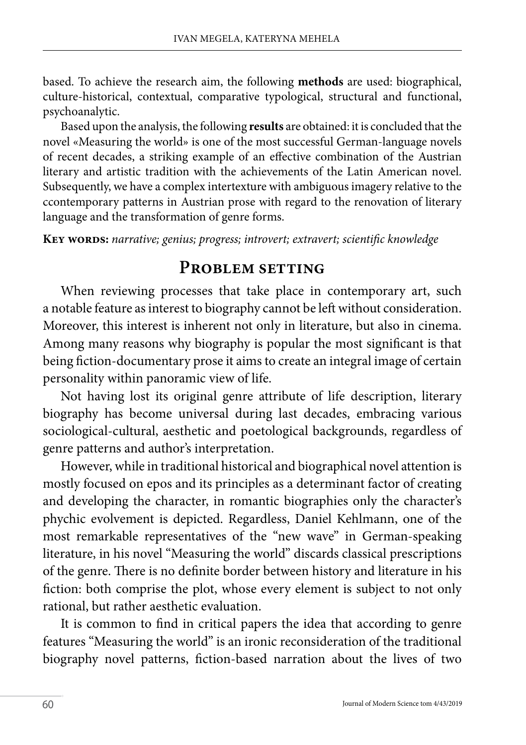based. To achieve the research aim, the following **methods** are used: biographical, culture-historical, contextual, comparative typological, structural and functional, psychoanalytic.

Based upon the analysis, the following **results** are obtained: it is concluded that the novel «Measuring the world» is one of the most successful German-language novels of recent decades, a striking example of an effective combination of the Austrian literary and artistic tradition with the achievements of the Latin American novel. Subsequently, we have a complex intertexture with ambiguous imagery relative to the ccontemporary patterns in Austrian prose with regard to the renovation of literary language and the transformation of genre forms.

**Key words:** *narrative; genius; progress; introvert; extravert; scientific knowledge*

## PROBLEM SETTING

When reviewing processes that take place in contemporary art, such a notable feature as interest to biography cannot be left without consideration. Moreover, this interest is inherent not only in literature, but also in cinema. Among many reasons why biography is popular the most significant is that being fiction-documentary prose it aims to create an integral image of certain personality within panoramic view of life.

Not having lost its original genre attribute of life description, literary biography has become universal during last decades, embracing various sociological-cultural, aesthetic and poetological backgrounds, regardless of genre patterns and author's interpretation.

However, while in traditional historical and biographical novel attention is mostly focused on epos and its principles as a determinant factor of creating and developing the character, in romantic biographies only the character's phychic evolvement is depicted. Regardless, Daniel Kehlmann, one of the most remarkable representatives of the "new wave" in German-speaking literature, in his novel "Measuring the world" discards classical prescriptions of the genre. There is no definite border between history and literature in his fiction: both comprise the plot, whose every element is subject to not only rational, but rather aesthetic evaluation.

It is common to find in critical papers the idea that according to genre features "Measuring the world" is an ironic reconsideration of the traditional biography novel patterns, fiction-based narration about the lives of two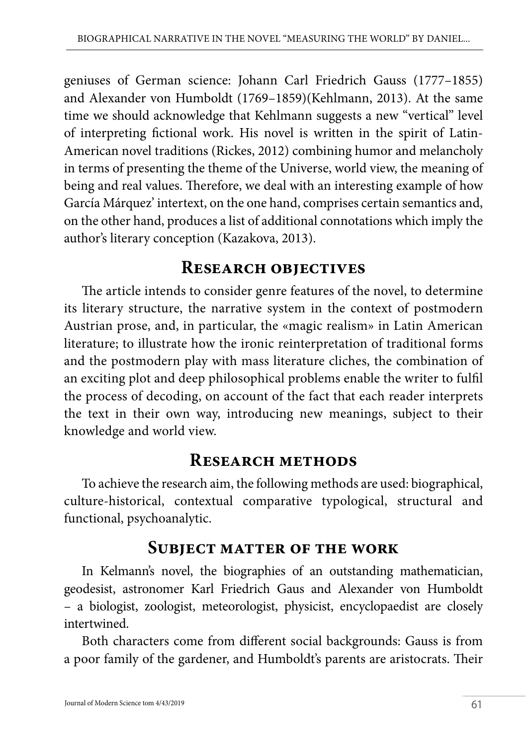geniuses of German science: Johann Carl Friedrich Gauss (1777–1855) and Alexander von Humboldt (1769–1859)(Kehlmann, 2013). At the same time we should acknowledge that Kehlmann suggests a new "vertical" level of interpreting fictional work. His novel is written in the spirit of Latin-American novel traditions (Rickes, 2012) combining humor and melancholy in terms of presenting the theme of the Universe, world view, the meaning of being and real values. Therefore, we deal with an interesting example of how García Márquez' intertext, on the one hand, comprises certain semantics and, on the other hand, produces a list of additional connotations which imply the author's literary conception (Kazakova, 2013).

# **Research objectives**

The article intends to consider genre features of the novel, to determine its literary structure, the narrative system in the context of postmodern Austrian prose, and, in particular, the «magic realism» in Latin American literature; to illustrate how the ironic reinterpretation of traditional forms and the postmodern play with mass literature cliches, the combination of an exciting plot and deep philosophical problems enable the writer to fulfil the process of decoding, on account of the fact that each reader interprets the text in their own way, introducing new meanings, subject to their knowledge and world view.

# **Research methods**

To achieve the research aim, the following methods are used: biographical, culture-historical, contextual comparative typological, structural and functional, psychoanalytic.

# **Subject matter of the work**

In Kelmann's novel, the biographies of an outstanding mathematician, geodesist, astronomer Karl Friedrich Gaus and Alexander von Humboldt – a biologist, zoologist, meteorologist, physicist, encyclopaedist are closely intertwined.

Both characters come from different social backgrounds: Gauss is from a poor family of the gardener, and Humboldt's parents are aristocrats. Their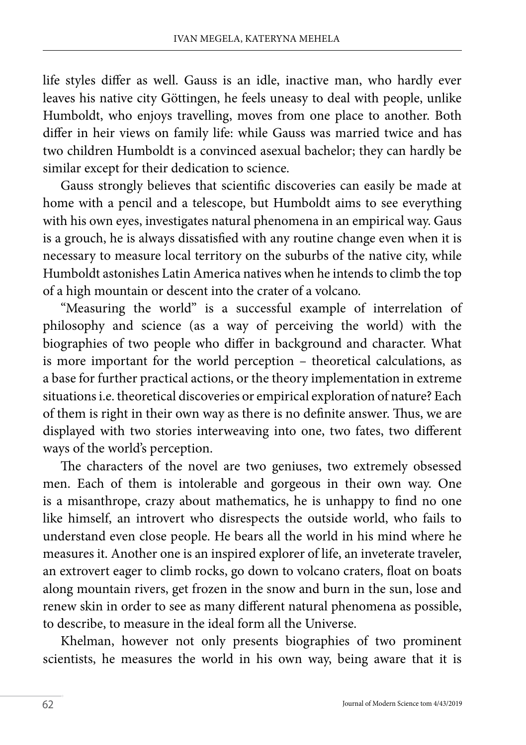life styles differ as well. Gauss is an idle, inactive man, who hardly ever leaves his native city Göttingen, he feels uneasy to deal with people, unlike Humboldt, who enjoys travelling, moves from one place to another. Both differ in heir views on family life: while Gauss was married twice and has two children Humboldt is a convinced asexual bachelor; they can hardly be similar except for their dedication to science.

Gauss strongly believes that scientific discoveries can easily be made at home with a pencil and a telescope, but Humboldt aims to see everything with his own eyes, investigates natural phenomena in an empirical way. Gaus is a grouch, he is always dissatisfied with any routine change even when it is necessary to measure local territory on the suburbs of the native city, while Humboldt astonishes Latin America natives when he intends to climb the top of a high mountain or descent into the crater of a volcano.

"Measuring the world" is a successful example of interrelation of philosophy and science (as a way of perceiving the world) with the biographies of two people who differ in background and character. What is more important for the world perception – theoretical calculations, as a base for further practical actions, or the theory implementation in extreme situations i.e. theoretical discoveries or empirical exploration of nature? Each of them is right in their own way as there is no definite answer. Thus, we are displayed with two stories interweaving into one, two fates, two different ways of the world's perception.

The characters of the novel are two geniuses, two extremely obsessed men. Each of them is intolerable and gorgeous in their own way. One is a misanthrope, crazy about mathematics, he is unhappy to find no one like himself, an introvert who disrespects the outside world, who fails to understand even close people. He bears all the world in his mind where he measures it. Another one is an inspired explorer of life, an inveterate traveler, an extrovert eager to climb rocks, go down to volcano craters, float on boats along mountain rivers, get frozen in the snow and burn in the sun, lose and renew skin in order to see as many different natural phenomena as possible, to describe, to measure in the ideal form all the Universe.

Khelman, however not only presents biographies of two prominent scientists, he measures the world in his own way, being aware that it is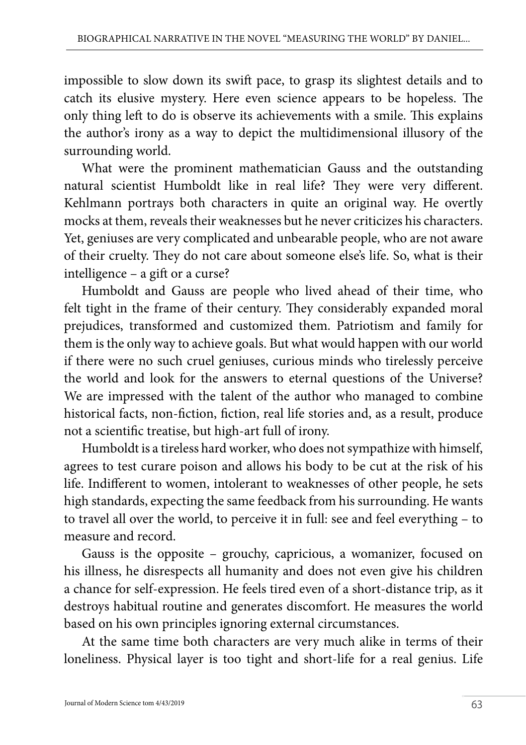impossible to slow down its swift pace, to grasp its slightest details and to catch its elusive mystery. Here even science appears to be hopeless. The only thing left to do is observe its achievements with a smile. This explains the author's irony as a way to depict the multidimensional illusory of the surrounding world.

What were the prominent mathematician Gauss and the outstanding natural scientist Humboldt like in real life? They were very different. Kehlmann portrays both characters in quite an original way. He overtly mocks at them, reveals their weaknesses but he never criticizes his characters. Yet, geniuses are very complicated and unbearable people, who are not aware of their cruelty. They do not care about someone else's life. So, what is their intelligence – a gift or a curse?

Humboldt and Gauss are people who lived ahead of their time, who felt tight in the frame of their century. They considerably expanded moral prejudices, transformed and customized them. Patriotism and family for them is the only way to achieve goals. But what would happen with our world if there were no such cruel geniuses, curious minds who tirelessly perceive the world and look for the answers to eternal questions of the Universe? We are impressed with the talent of the author who managed to combine historical facts, non-fiction, fiction, real life stories and, as a result, produce not a scientific treatise, but high-art full of irony.

Humboldt is a tireless hard worker, who does not sympathize with himself, agrees to test curare poison and allows his body to be cut at the risk of his life. Indifferent to women, intolerant to weaknesses of other people, he sets high standards, expecting the same feedback from his surrounding. He wants to travel all over the world, to perceive it in full: see and feel everything – to measure and record.

Gauss is the opposite – grouchy, capricious, a womanizer, focused on his illness, he disrespects all humanity and does not even give his children a chance for self-expression. He feels tired even of a short-distance trip, as it destroys habitual routine and generates discomfort. He measures the world based on his own principles ignoring external circumstances.

At the same time both characters are very much alike in terms of their loneliness. Physical layer is too tight and short-life for a real genius. Life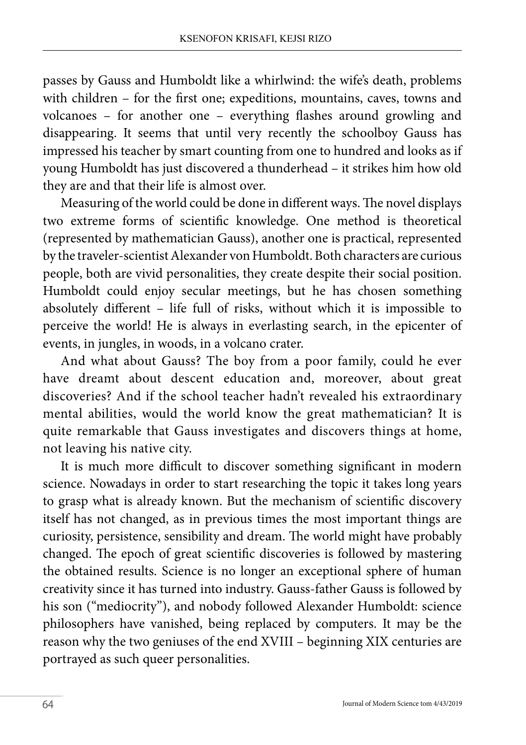passes by Gauss and Humboldt like a whirlwind: the wife's death, problems with children – for the first one; expeditions, mountains, caves, towns and volcanoes – for another one – everything flashes around growling and disappearing. It seems that until very recently the schoolboy Gauss has impressed his teacher by smart counting from one to hundred and looks as if young Humboldt has just discovered a thunderhead – it strikes him how old they are and that their life is almost over.

Measuring of the world could be done in different ways. The novel displays two extreme forms of scientific knowledge. One method is theoretical (represented by mathematician Gauss), another one is practical, represented by the traveler-scientist Alexander von Humboldt. Both characters are curious people, both are vivid personalities, they create despite their social position. Humboldt could enjoy secular meetings, but he has chosen something absolutely different – life full of risks, without which it is impossible to perceive the world! He is always in everlasting search, in the epicenter of events, in jungles, in woods, in a volcano crater.

And what about Gauss? The boy from a poor family, could he ever have dreamt about descent education and, moreover, about great discoveries? And if the school teacher hadn't revealed his extraordinary mental abilities, would the world know the great mathematician? It is quite remarkable that Gauss investigates and discovers things at home, not leaving his native city.

It is much more difficult to discover something significant in modern science. Nowadays in order to start researching the topic it takes long years to grasp what is already known. But the mechanism of scientific discovery itself has not changed, as in previous times the most important things are curiosity, persistence, sensibility and dream. The world might have probably changed. The epoch of great scientific discoveries is followed by mastering the obtained results. Science is no longer an exceptional sphere of human creativity since it has turned into industry. Gauss-father Gauss is followed by his son ("mediocrity"), and nobody followed Alexander Humboldt: science philosophers have vanished, being replaced by computers. It may be the reason why the two geniuses of the end XVIII – beginning XIX centuries are portrayed as such queer personalities.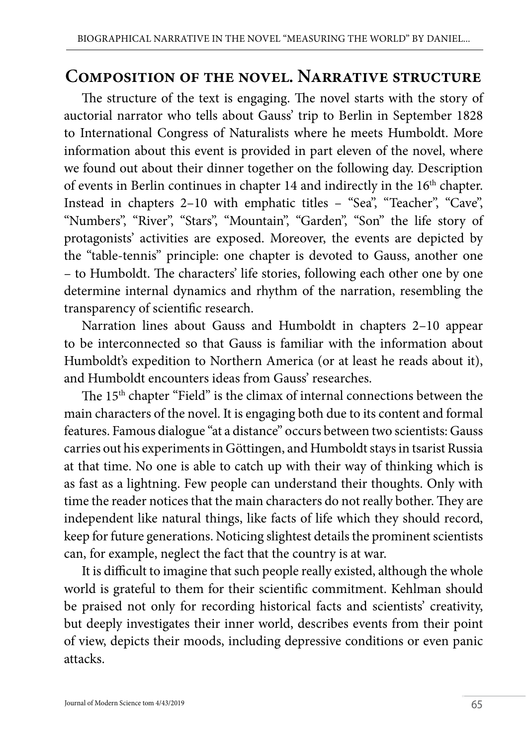## **Composition of the novel. Narrative structure**

The structure of the text is engaging. The novel starts with the story of auctorial narrator who tells about Gauss' trip to Berlin in September 1828 to International Congress of Naturalists where he meets Humboldt. More information about this event is provided in part eleven of the novel, where we found out about their dinner together on the following day. Description of events in Berlin continues in chapter 14 and indirectly in the 16<sup>th</sup> chapter. Instead in chapters 2–10 with emphatic titles – "Sea", "Teacher", "Cave", "Numbers", "River", "Stars", "Mountain", "Garden", "Son" the life story of protagonists' activities are exposed. Moreover, the events are depicted by the "table-tennis" principle: one chapter is devoted to Gauss, another one – to Humboldt. The characters' life stories, following each other one by one determine internal dynamics and rhythm of the narration, resembling the transparency of scientific research.

Narration lines about Gauss and Humboldt in chapters 2–10 appear to be interconnected so that Gauss is familiar with the information about Humboldt's expedition to Northern America (or at least he reads about it), and Humboldt encounters ideas from Gauss' researches.

The 15th chapter "Field" is the climax of internal connections between the main characters of the novel. It is engaging both due to its content and formal features. Famous dialogue "at a distance" occurs between two scientists: Gauss carries out his experiments in [Göttingen,](https://en.wikipedia.org/wiki/Göttingen) and Humboldt stays in tsarist Russia at that time. No one is able to catch up with their way of thinking which is as fast as a lightning. Few people can understand their thoughts. Only with time the reader notices that the main characters do not really bother. They are independent like natural things, like facts of life which they should record, keep for future generations. Noticing slightest details the prominent scientists can, for example, neglect the fact that the country is at war.

It is difficult to imagine that such people really existed, although the whole world is grateful to them for their scientific commitment. Kehlman should be praised not only for recording historical facts and scientists' creativity, but deeply investigates their inner world, describes events from their point of view, depicts their moods, including depressive conditions or even panic attacks.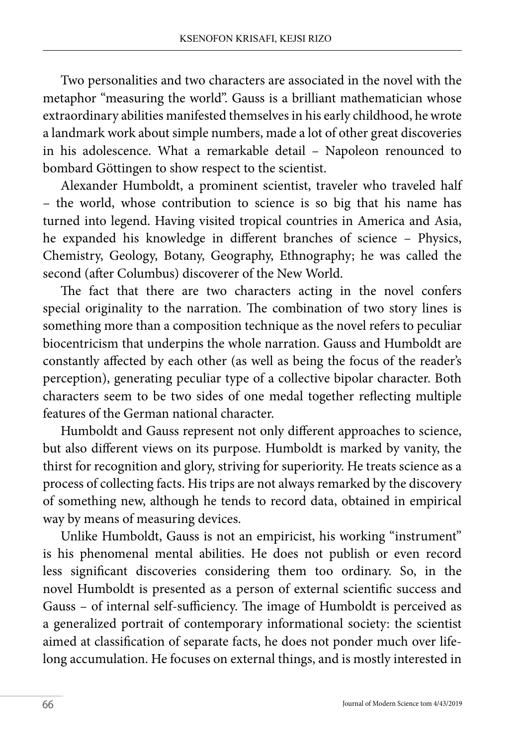Two personalities and two characters are associated in the novel with the metaphor "measuring the world". Gauss is a brilliant mathematician whose extraordinary abilities manifested themselves in his early childhood, he wrote a landmark work about simple numbers, made a lot of other great discoveries in his adolescence. What a remarkable detail – Napoleon renounced to bombard Göttingen to show respect to the scientist.

Alexander Humboldt, a prominent scientist, traveler who traveled half – the world, whose contribution to science is so big that his name has turned into legend. Having visited tropical countries in America and Asia, he expanded his knowledge in different branches of science – Physics, Chemistry, Geology, Botany, Geography, Ethnography; he was called the second (after Columbus) discoverer of the New World.

The fact that there are two characters acting in the novel confers special originality to the narration. The combination of two story lines is something more than a composition technique as the novel refers to peculiar biocentricism that underpins the whole narration. Gauss and Humboldt are constantly affected by each other (as well as being the focus of the reader's perception), generating peculiar type of a collective bipolar character. Both characters seem to be two sides of one medal together reflecting multiple features of the German national character.

Humboldt and Gauss represent not only different approaches to science, but also different views on its purpose. Humboldt is marked by vanity, the thirst for recognition and glory, striving for superiority. He treats science as a process of collecting facts. His trips are not always remarked by the discovery of something new, although he tends to record data, obtained in empirical way by means of measuring devices.

Unlike Humboldt, Gauss is not an empiricist, his working "instrument" is his phenomenal mental abilities. He does not publish or even record less significant discoveries considering them too ordinary. So, in the novel Humboldt is presented as a person of external scientific success and Gauss – of internal self-sufficiency. The image of Humboldt is perceived as a generalized portrait of contemporary informational society: the scientist aimed at classification of separate facts, he does not ponder much over lifelong accumulation. He focuses on external things, and is mostly interested in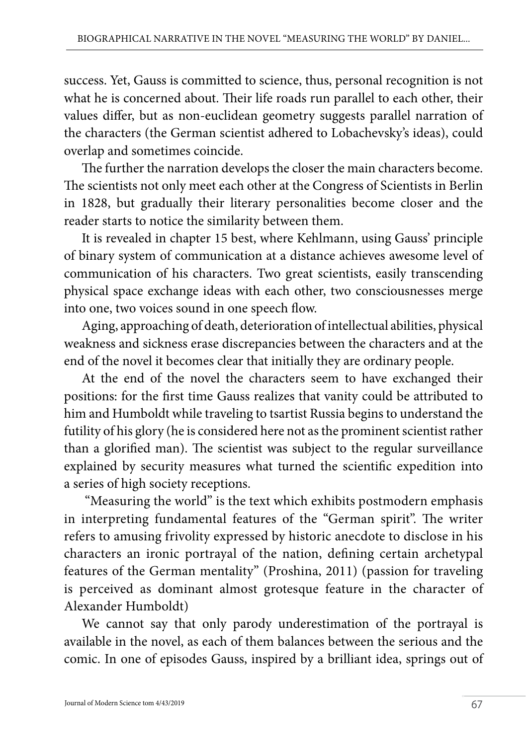success. Yet, Gauss is committed to science, thus, personal recognition is not what he is concerned about. Their life roads run parallel to each other, their values differ, but as non-euclidean geometry suggests parallel narration of the characters (the German scientist adhered to Lobachevsky's ideas), could overlap and sometimes coincide.

The further the narration develops the closer the main characters become. The scientists not only meet each other at the Congress of Scientists in Berlin in 1828, but gradually their literary personalities become closer and the reader starts to notice the similarity between them.

It is revealed in chapter 15 best, where Kehlmann, using Gauss' principle of binary system of communication at a distance achieves awesome level of communication of his characters. Two great scientists, easily transcending physical space exchange ideas with each other, two consciousnesses merge into one, two voices sound in one speech flow.

Aging, approaching of death, deterioration of intellectual abilities, physical weakness and sickness erase discrepancies between the characters and at the end of the novel it becomes clear that initially they are ordinary people.

At the end of the novel the characters seem to have exchanged their positions: for the first time Gauss realizes that vanity could be attributed to him and Humboldt while traveling to tsartist Russia begins to understand the futility of his glory (he is considered here not as the prominent scientist rather than a glorified man). The scientist was subject to the regular surveillance explained by security measures what turned the scientific expedition into a series of high society receptions.

 "Measuring the world" is the text which exhibits postmodern emphasis in interpreting fundamental features of the "German spirit". The writer refers to amusing frivolity expressed by historic anecdote to disclose in his characters an ironic portrayal of the nation, defining certain archetypal features of the German mentality" (Proshina, 2011) (passion for traveling is perceived as dominant almost grotesque feature in the character of Alexander Humboldt)

We cannot say that only parody underestimation of the portrayal is available in the novel, as each of them balances between the serious and the comic. In one of episodes Gauss, inspired by a brilliant idea, springs out of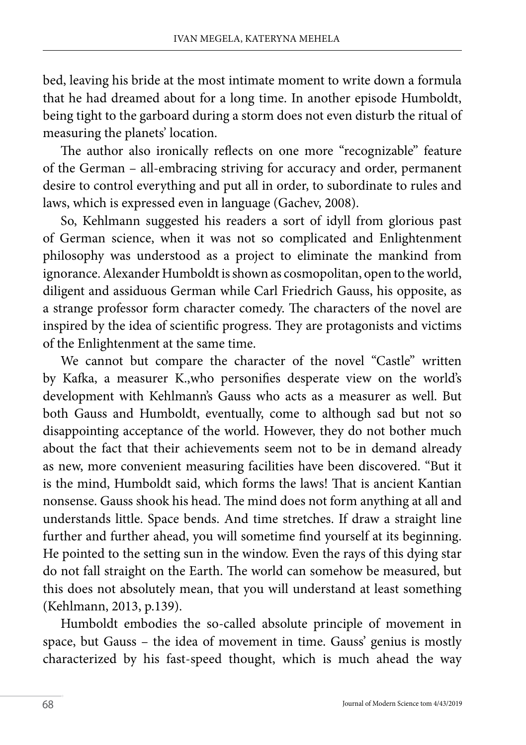bed, leaving his bride at the most intimate moment to write down a formula that he had dreamed about for a long time. In another episode Humboldt, being tight to the garboard during a storm does not even disturb the ritual of measuring the planets' location.

The author also ironically reflects on one more "recognizable" feature of the German – all-embracing striving for accuracy and order, permanent desire to control everything and put all in order, to subordinate to rules and laws, which is expressed even in language (Gachev, 2008).

So, Kehlmann suggested his readers a sort of idyll from glorious past of German science, when it was not so complicated and Enlightenment philosophy was understood as a project to eliminate the mankind from ignorance. Alexander Humboldt is shown as cosmopolitan, open to the world, diligent and assiduous German while Carl Friedrich Gauss, his opposite, as a strange professor form character comedy. The characters of the novel are inspired by the idea of scientific progress. They are protagonists and victims of the Enlightenment at the same time.

We cannot but compare the character of the novel "Castle" written by Kafka, a measurer K.,who personifies desperate view on the world's development with Kehlmann's Gauss who acts as a measurer as well. But both Gauss and Humboldt, eventually, come to although sad but not so disappointing acceptance of the world. However, they do not bother much about the fact that their achievements seem not to be in demand already as new, more convenient measuring facilities have been discovered. "But it is the mind, Humboldt said, which forms the laws! That is ancient Kantian nonsense. Gauss shook his head. The mind does not form anything at all and understands little. Space bends. And time stretches. If draw a straight line further and further ahead, you will sometime find yourself at its beginning. He pointed to the setting sun in the window. Even the rays of this dying star do not fall straight on the Earth. The world can somehow be measured, but this does not absolutely mean, that you will understand at least something (Kehlmann, 2013, p.139).

Humboldt embodies the so-called absolute principle of movement in space, but Gauss – the idea of movement in time. Gauss' genius is mostly characterized by his fast-speed thought, which is much ahead the way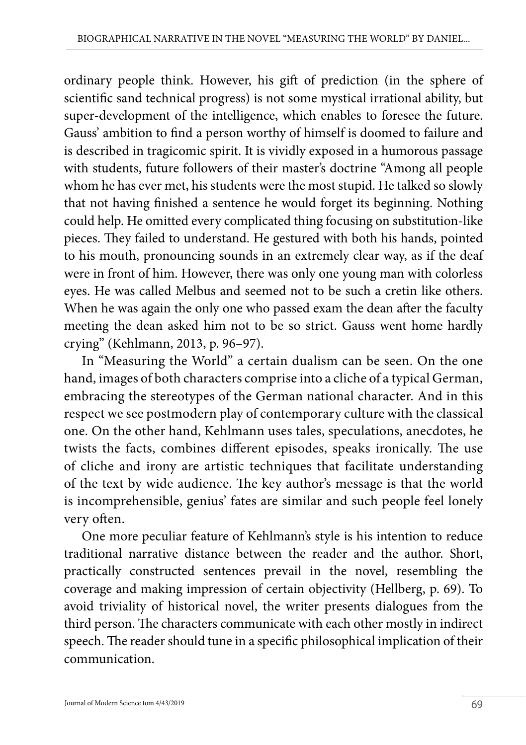ordinary people think. However, his gift of prediction (in the sphere of scientific sand technical progress) is not some mystical irrational ability, but super-development of the intelligence, which enables to foresee the future. Gauss' ambition to find a person worthy of himself is doomed to failure and is described in tragicomic spirit. It is vividly exposed in a humorous passage with students, future followers of their master's doctrine "Among all people whom he has ever met, his students were the most stupid. He talked so slowly that not having finished a sentence he would forget its beginning. Nothing could help. He omitted every complicated thing focusing on substitution-like pieces. They failed to understand. He gestured with both his hands, pointed to his mouth, pronouncing sounds in an extremely clear way, as if the deaf were in front of him. However, there was only one young man with colorless eyes. He was called Melbus and seemed not to be such a cretin like others. When he was again the only one who passed exam the dean after the faculty meeting the dean asked him not to be so strict. Gauss went home hardly crying" (Kehlmann, 2013, p. 96–97).

In "Measuring the World" a certain dualism can be seen. On the one hand, images of both characters comprise into a cliche of a typical German, embracing the stereotypes of the German national character. And in this respect we see postmodern play of contemporary culture with the classical one. On the other hand, Kehlmann uses tales, speculations, anecdotes, he twists the facts, combines different episodes, speaks ironically. The use of cliche and irony are artistic techniques that facilitate understanding of the text by wide audience. The key author's message is that the world is incomprehensible, genius' fates are similar and such people feel lonely very often.

One more peculiar feature of Kehlmann's style is his intention to reduce traditional narrative distance between the reader and the author. Short, practically constructed sentences prevail in the novel, resembling the coverage and making impression of certain objectivity (Hellberg, p. 69). To avoid triviality of historical novel, the writer presents dialogues from the third person. The characters communicate with each other mostly in indirect speech. The reader should tune in a specific philosophical implication of their communication.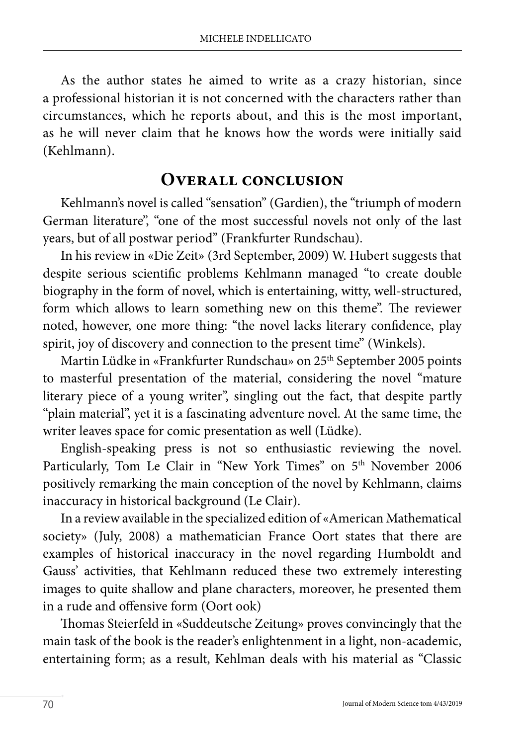As the author states he aimed to write as a crazy historian, since a professional historian it is not concerned with the characters rather than circumstances, which he reports about, and this is the most important, as he will never claim that he knows how the words were initially said (Kehlmann).

### **Overall conclusion**

Kehlmann's novel is called "sensation" (Gardien), the "triumph of modern German literature", "one of the most successful novels not only of the last years, but of all postwar period" (Frankfurter Rundschau).

In his review in «Die Zeit» (3rd September, 2009) W. Hubert suggests that despite serious scientific problems Kehlmann managed "to create double biography in the form of novel, which is entertaining, witty, well-structured, form which allows to learn something new on this theme". The reviewer noted, however, one more thing: "the novel lacks literary confidence, play spirit, joy of discovery and connection to the present time" (Winkels).

Martin Lüdke in «Frankfurter Rundschau» on 25<sup>th</sup> September 2005 points to masterful presentation of the material, considering the novel "mature literary piece of a young writer", singling out the fact, that despite partly "plain material", yet it is a fascinating adventure novel. At the same time, the writer leaves space for comic presentation as well (Lüdke).

English-speaking press is not so enthusiastic reviewing the novel. Particularly, Tom Le Clair in "New York Times" on 5<sup>th</sup> November 2006 positively remarking the main conception of the novel by Kehlmann, claims inaccuracy in historical background (Le Clair).

In a review available in the specialized edition of «American Mathematical society» (July, 2008) a mathematician France Oort states that there are examples of historical inaccuracy in the novel regarding Humboldt and Gauss' activities, that Kehlmann reduced these two extremely interesting images to quite shallow and plane characters, moreover, he presented them in a rude and offensive form (Oort ook)

Thomas Steierfeld in «Suddeutsche Zeitung» proves convincingly that the main task of the book is the reader's enlightenment in a light, non-academic, entertaining form; as a result, Kehlman deals with his material as "Classic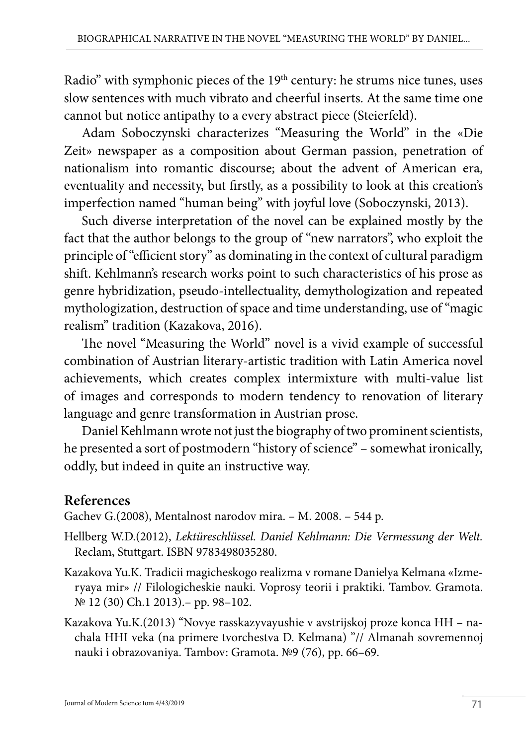Radio" with symphonic pieces of the 19<sup>th</sup> century: he strums nice tunes, uses slow sentences with much vibrato and cheerful inserts. At the same time one cannot but notice antipathy to a every abstract piece (Steierfeld).

Adam Soboczynski characterizes "Measuring the World" in the «Die Zeit» newspaper as a composition about German passion, penetration of nationalism into romantic discourse; about the advent of American era, eventuality and necessity, but firstly, as a possibility to look at this creation's imperfection named "human being" with joyful love (Soboczynski, 2013).

Such diverse interpretation of the novel can be explained mostly by the fact that the author belongs to the group of "new narrators", who exploit the principle of "efficient story" as dominating in the context of cultural paradigm shift. Kehlmann's research works point to such characteristics of his prose as genre hybridization, pseudo-intellectuality, demythologization and repeated mythologization, destruction of space and time understanding, use of "magic realism" tradition (Kazakova, 2016).

The novel "Measuring the World" novel is a vivid example of successful combination of Austrian literary-artistic tradition with Latin America novel achievements, which creates complex intermixture with multi-value list of images and corresponds to modern tendency to renovation of literary language and genre transformation in Austrian prose.

Daniel Kehlmann wrote not just the biography of two prominent scientists, he presented a sort of postmodern "history of science" – somewhat ironically, oddly, but indeed in quite an instructive way.

## **References**

Gachev G.(2008), Mentalnost narodov mira. – M. 2008. – 544 p.

- Hellberg W.D.(2012), *Lektüreschlüssel. Daniel Kehlmann: Die Vermessung der Welt.* Reclam, Stuttgart. ISBN 9783498035280.
- Kazakova Yu.K. Tradicii magicheskogo realizma v romane Danielya Kelmana «Izmeryaya mir» // Filologicheskie nauki. Voprosy teorii i praktiki. Tambov. Gramota. № 12 (30) Ch.1 2013).– pp. 98–102.
- Kazakova Yu.K.(2013) "Novye rasskazyvayushie v avstrijskoj proze konca HH nachala HHI veka (na primere tvorchestva D. Kelmana) "// Almanah sovremennoj nauki i obrazovaniya. Tambov: Gramota. №9 (76), pp. 66–69.